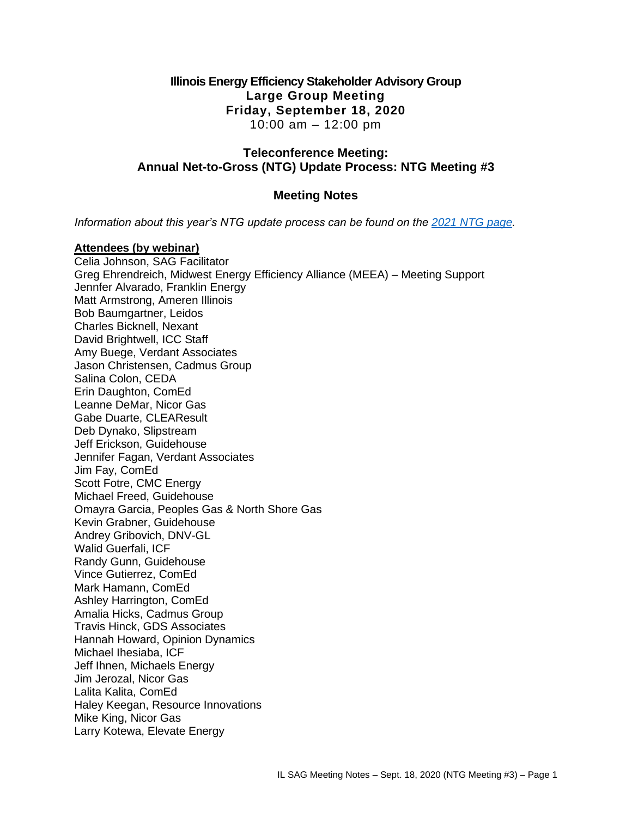## **Illinois Energy Efficiency Stakeholder Advisory Group Large Group Meeting Friday, September 18, 2020** 10:00 am – 12:00 pm

## **Teleconference Meeting: Annual Net-to-Gross (NTG) Update Process: NTG Meeting #3**

# **Meeting Notes**

*Information about this year's NTG update process can be found on the [2021 NTG page.](https://www.ilsag.info/evaluator-ntg-recommendations-for-2021/)* 

#### **Attendees (by webinar)**

Celia Johnson, SAG Facilitator Greg Ehrendreich, Midwest Energy Efficiency Alliance (MEEA) – Meeting Support Jennfer Alvarado, Franklin Energy Matt Armstrong, Ameren Illinois Bob Baumgartner, Leidos Charles Bicknell, Nexant David Brightwell, ICC Staff Amy Buege, Verdant Associates Jason Christensen, Cadmus Group Salina Colon, CEDA Erin Daughton, ComEd Leanne DeMar, Nicor Gas Gabe Duarte, CLEAResult Deb Dynako, Slipstream Jeff Erickson, Guidehouse Jennifer Fagan, Verdant Associates Jim Fay, ComEd Scott Fotre, CMC Energy Michael Freed, Guidehouse Omayra Garcia, Peoples Gas & North Shore Gas Kevin Grabner, Guidehouse Andrey Gribovich, DNV-GL Walid Guerfali, ICF Randy Gunn, Guidehouse Vince Gutierrez, ComEd Mark Hamann, ComEd Ashley Harrington, ComEd Amalia Hicks, Cadmus Group Travis Hinck, GDS Associates Hannah Howard, Opinion Dynamics Michael Ihesiaba, ICF Jeff Ihnen, Michaels Energy Jim Jerozal, Nicor Gas Lalita Kalita, ComEd Haley Keegan, Resource Innovations Mike King, Nicor Gas Larry Kotewa, Elevate Energy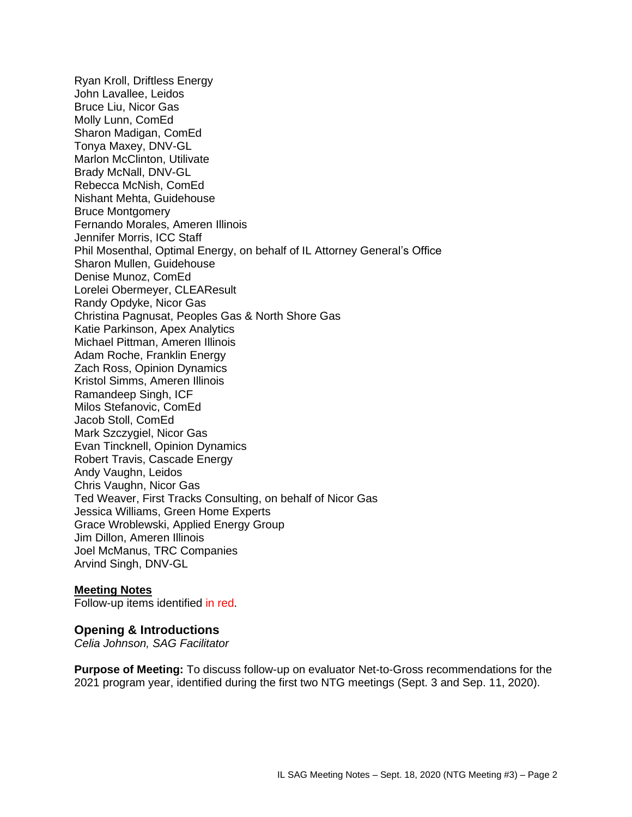Ryan Kroll, Driftless Energy John Lavallee, Leidos Bruce Liu, Nicor Gas Molly Lunn, ComEd Sharon Madigan, ComEd Tonya Maxey, DNV-GL Marlon McClinton, Utilivate Brady McNall, DNV-GL Rebecca McNish, ComEd Nishant Mehta, Guidehouse Bruce Montgomery Fernando Morales, Ameren Illinois Jennifer Morris, ICC Staff Phil Mosenthal, Optimal Energy, on behalf of IL Attorney General's Office Sharon Mullen, Guidehouse Denise Munoz, ComEd Lorelei Obermeyer, CLEAResult Randy Opdyke, Nicor Gas Christina Pagnusat, Peoples Gas & North Shore Gas Katie Parkinson, Apex Analytics Michael Pittman, Ameren Illinois Adam Roche, Franklin Energy Zach Ross, Opinion Dynamics Kristol Simms, Ameren Illinois Ramandeep Singh, ICF Milos Stefanovic, ComEd Jacob Stoll, ComEd Mark Szczygiel, Nicor Gas Evan Tincknell, Opinion Dynamics Robert Travis, Cascade Energy Andy Vaughn, Leidos Chris Vaughn, Nicor Gas Ted Weaver, First Tracks Consulting, on behalf of Nicor Gas Jessica Williams, Green Home Experts Grace Wroblewski, Applied Energy Group Jim Dillon, Ameren Illinois Joel McManus, TRC Companies Arvind Singh, DNV-GL

#### **Meeting Notes**

Follow-up items identified in red.

#### **Opening & Introductions**

*Celia Johnson, SAG Facilitator*

**Purpose of Meeting:** To discuss follow-up on evaluator Net-to-Gross recommendations for the 2021 program year, identified during the first two NTG meetings (Sept. 3 and Sep. 11, 2020).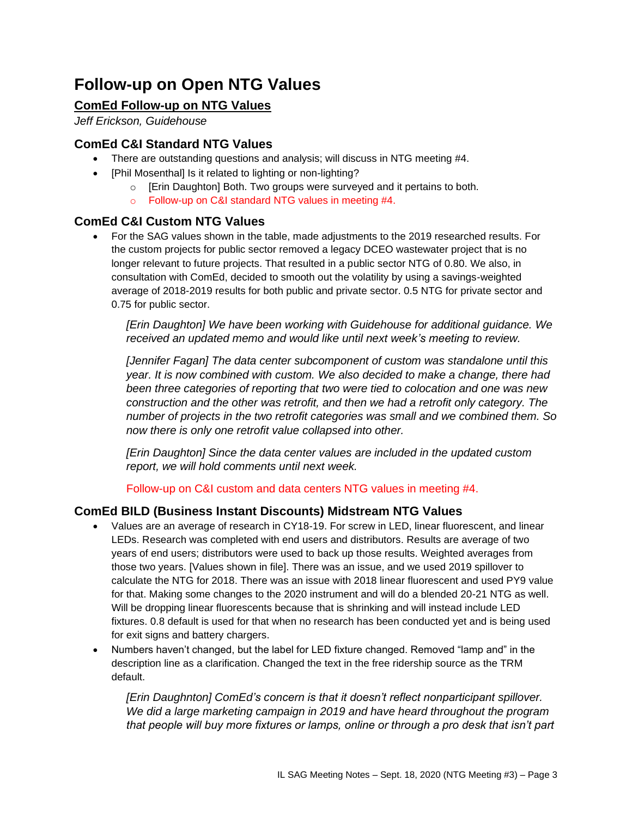# **Follow-up on Open NTG Values**

# **ComEd Follow-up on NTG Values**

*Jeff Erickson, Guidehouse*

# **ComEd C&I Standard NTG Values**

- There are outstanding questions and analysis; will discuss in NTG meeting #4.
- [Phil Mosenthal] Is it related to lighting or non-lighting?
	- o [Erin Daughton] Both. Two groups were surveyed and it pertains to both.
	- o Follow-up on C&I standard NTG values in meeting #4.

## **ComEd C&I Custom NTG Values**

• For the SAG values shown in the table, made adjustments to the 2019 researched results. For the custom projects for public sector removed a legacy DCEO wastewater project that is no longer relevant to future projects. That resulted in a public sector NTG of 0.80. We also, in consultation with ComEd, decided to smooth out the volatility by using a savings-weighted average of 2018-2019 results for both public and private sector. 0.5 NTG for private sector and 0.75 for public sector.

*[Erin Daughton] We have been working with Guidehouse for additional guidance. We received an updated memo and would like until next week's meeting to review.*

*[Jennifer Fagan] The data center subcomponent of custom was standalone until this year. It is now combined with custom. We also decided to make a change, there had been three categories of reporting that two were tied to colocation and one was new construction and the other was retrofit, and then we had a retrofit only category. The number of projects in the two retrofit categories was small and we combined them. So now there is only one retrofit value collapsed into other.* 

*[Erin Daughton] Since the data center values are included in the updated custom report, we will hold comments until next week.* 

Follow-up on C&I custom and data centers NTG values in meeting #4.

## **ComEd BILD (Business Instant Discounts) Midstream NTG Values**

- Values are an average of research in CY18-19. For screw in LED, linear fluorescent, and linear LEDs. Research was completed with end users and distributors. Results are average of two years of end users; distributors were used to back up those results. Weighted averages from those two years. [Values shown in file]. There was an issue, and we used 2019 spillover to calculate the NTG for 2018. There was an issue with 2018 linear fluorescent and used PY9 value for that. Making some changes to the 2020 instrument and will do a blended 20-21 NTG as well. Will be dropping linear fluorescents because that is shrinking and will instead include LED fixtures. 0.8 default is used for that when no research has been conducted yet and is being used for exit signs and battery chargers.
- Numbers haven't changed, but the label for LED fixture changed. Removed "lamp and" in the description line as a clarification. Changed the text in the free ridership source as the TRM default.

*[Erin Daughnton] ComEd's concern is that it doesn't reflect nonparticipant spillover. We did a large marketing campaign in 2019 and have heard throughout the program that people will buy more fixtures or lamps, online or through a pro desk that isn't part*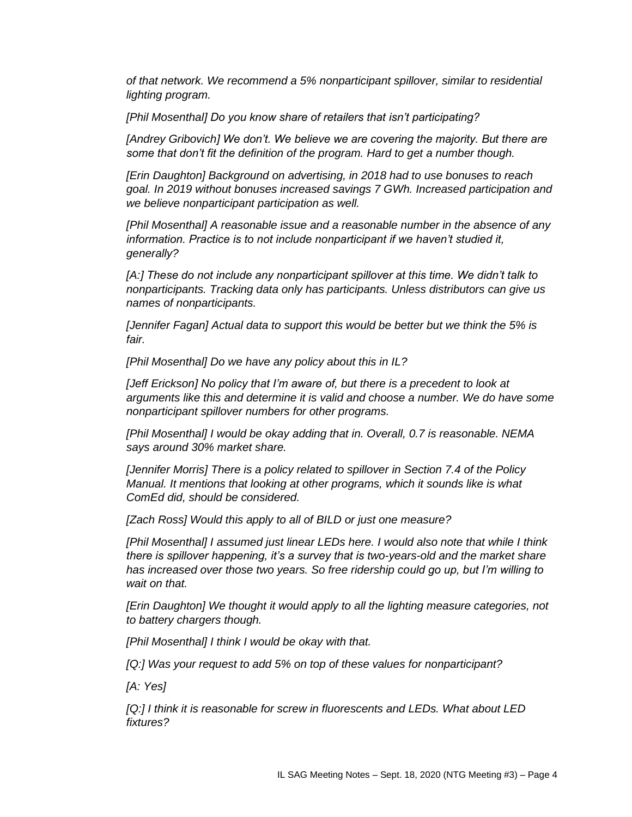*of that network. We recommend a 5% nonparticipant spillover, similar to residential lighting program.*

*[Phil Mosenthal] Do you know share of retailers that isn't participating?*

[Andrey Gribovich] We don't. We believe we are covering the majority. But there are *some that don't fit the definition of the program. Hard to get a number though.*

*[Erin Daughton] Background on advertising, in 2018 had to use bonuses to reach goal. In 2019 without bonuses increased savings 7 GWh. Increased participation and we believe nonparticipant participation as well.*

*[Phil Mosenthal] A reasonable issue and a reasonable number in the absence of any information. Practice is to not include nonparticipant if we haven't studied it, generally?*

*[A:] These do not include any nonparticipant spillover at this time. We didn't talk to nonparticipants. Tracking data only has participants. Unless distributors can give us names of nonparticipants.*

*[Jennifer Fagan] Actual data to support this would be better but we think the 5% is fair.*

*[Phil Mosenthal] Do we have any policy about this in IL?*

*[Jeff Erickson] No policy that I'm aware of, but there is a precedent to look at arguments like this and determine it is valid and choose a number. We do have some nonparticipant spillover numbers for other programs.*

*[Phil Mosenthal] I would be okay adding that in. Overall, 0.7 is reasonable. NEMA says around 30% market share.*

*[Jennifer Morris] There is a policy related to spillover in Section 7.4 of the Policy Manual. It mentions that looking at other programs, which it sounds like is what ComEd did, should be considered.*

*[Zach Ross] Would this apply to all of BILD or just one measure?*

*[Phil Mosenthal] I assumed just linear LEDs here. I would also note that while I think there is spillover happening, it's a survey that is two-years-old and the market share has increased over those two years. So free ridership could go up, but I'm willing to wait on that.*

*[Erin Daughton] We thought it would apply to all the lighting measure categories, not to battery chargers though.*

*[Phil Mosenthal] I think I would be okay with that.* 

*[Q:] Was your request to add 5% on top of these values for nonparticipant?* 

*[A: Yes]* 

*[Q:] I think it is reasonable for screw in fluorescents and LEDs. What about LED fixtures?*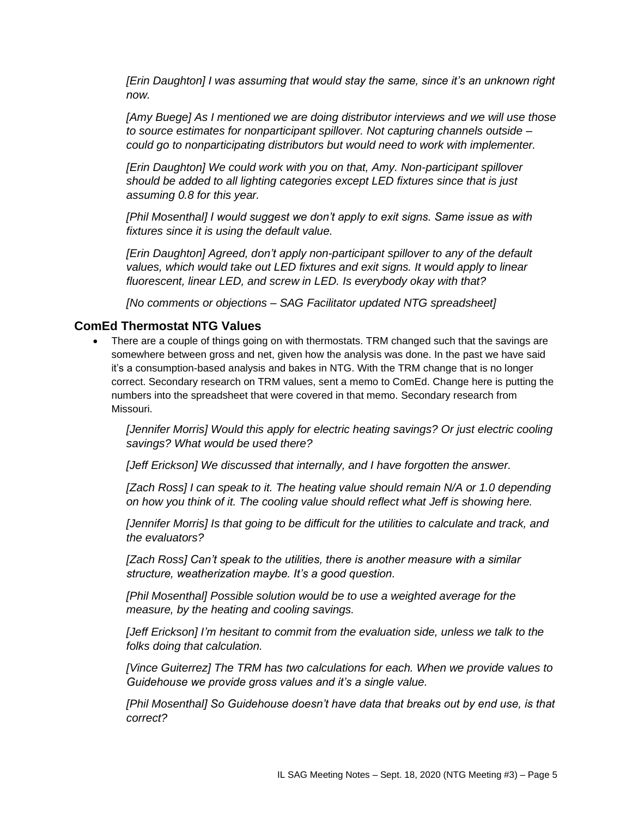*[Erin Daughton] I was assuming that would stay the same, since it's an unknown right now.*

*[Amy Buege] As I mentioned we are doing distributor interviews and we will use those to source estimates for nonparticipant spillover. Not capturing channels outside – could go to nonparticipating distributors but would need to work with implementer.* 

*[Erin Daughton] We could work with you on that, Amy. Non-participant spillover should be added to all lighting categories except LED fixtures since that is just assuming 0.8 for this year.*

*[Phil Mosenthal] I would suggest we don't apply to exit signs. Same issue as with fixtures since it is using the default value.*

*[Erin Daughton] Agreed, don't apply non-participant spillover to any of the default values, which would take out LED fixtures and exit signs. It would apply to linear fluorescent, linear LED, and screw in LED. Is everybody okay with that?*

*[No comments or objections – SAG Facilitator updated NTG spreadsheet]*

#### **ComEd Thermostat NTG Values**

• There are a couple of things going on with thermostats. TRM changed such that the savings are somewhere between gross and net, given how the analysis was done. In the past we have said it's a consumption-based analysis and bakes in NTG. With the TRM change that is no longer correct. Secondary research on TRM values, sent a memo to ComEd. Change here is putting the numbers into the spreadsheet that were covered in that memo. Secondary research from Missouri.

*[Jennifer Morris] Would this apply for electric heating savings? Or just electric cooling savings? What would be used there?*

*[Jeff Erickson] We discussed that internally, and I have forgotten the answer.* 

*[Zach Ross] I can speak to it. The heating value should remain N/A or 1.0 depending on how you think of it. The cooling value should reflect what Jeff is showing here.* 

*[Jennifer Morris] Is that going to be difficult for the utilities to calculate and track, and the evaluators?*

*[Zach Ross] Can't speak to the utilities, there is another measure with a similar structure, weatherization maybe. It's a good question.*

*[Phil Mosenthal] Possible solution would be to use a weighted average for the measure, by the heating and cooling savings.*

*[Jeff Erickson] I'm hesitant to commit from the evaluation side, unless we talk to the folks doing that calculation.*

*[Vince Guiterrez] The TRM has two calculations for each. When we provide values to Guidehouse we provide gross values and it's a single value.*

*[Phil Mosenthal] So Guidehouse doesn't have data that breaks out by end use, is that correct?*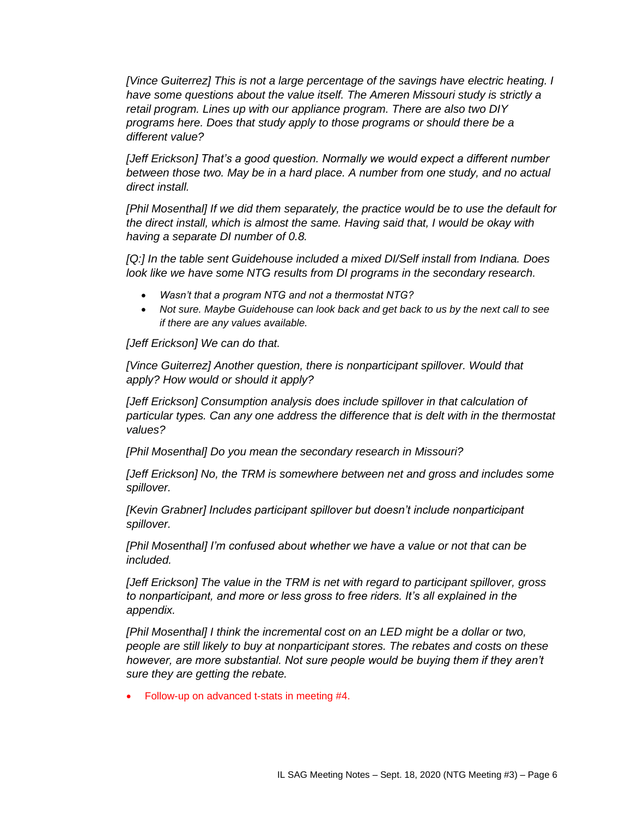*[Vince Guiterrez] This is not a large percentage of the savings have electric heating. I have some questions about the value itself. The Ameren Missouri study is strictly a retail program. Lines up with our appliance program. There are also two DIY programs here. Does that study apply to those programs or should there be a different value?*

*[Jeff Erickson] That's a good question. Normally we would expect a different number between those two. May be in a hard place. A number from one study, and no actual direct install.*

*[Phil Mosenthal] If we did them separately, the practice would be to use the default for the direct install, which is almost the same. Having said that, I would be okay with having a separate DI number of 0.8.*

*[Q:] In the table sent Guidehouse included a mixed DI/Self install from Indiana. Does look like we have some NTG results from DI programs in the secondary research.*

- *Wasn't that a program NTG and not a thermostat NTG?*
- *Not sure. Maybe Guidehouse can look back and get back to us by the next call to see if there are any values available.*

*[Jeff Erickson] We can do that.*

*[Vince Guiterrez] Another question, there is nonparticipant spillover. Would that apply? How would or should it apply?*

*[Jeff Erickson] Consumption analysis does include spillover in that calculation of particular types. Can any one address the difference that is delt with in the thermostat values?*

*[Phil Mosenthal] Do you mean the secondary research in Missouri?*

*[Jeff Erickson] No, the TRM is somewhere between net and gross and includes some spillover.*

*[Kevin Grabner] Includes participant spillover but doesn't include nonparticipant spillover.*

*[Phil Mosenthal] I'm confused about whether we have a value or not that can be included.*

*[Jeff Erickson] The value in the TRM is net with regard to participant spillover, gross to nonparticipant, and more or less gross to free riders. It's all explained in the appendix.*

*[Phil Mosenthal] I think the incremental cost on an LED might be a dollar or two, people are still likely to buy at nonparticipant stores. The rebates and costs on these however, are more substantial. Not sure people would be buying them if they aren't sure they are getting the rebate.*

• Follow-up on advanced t-stats in meeting #4.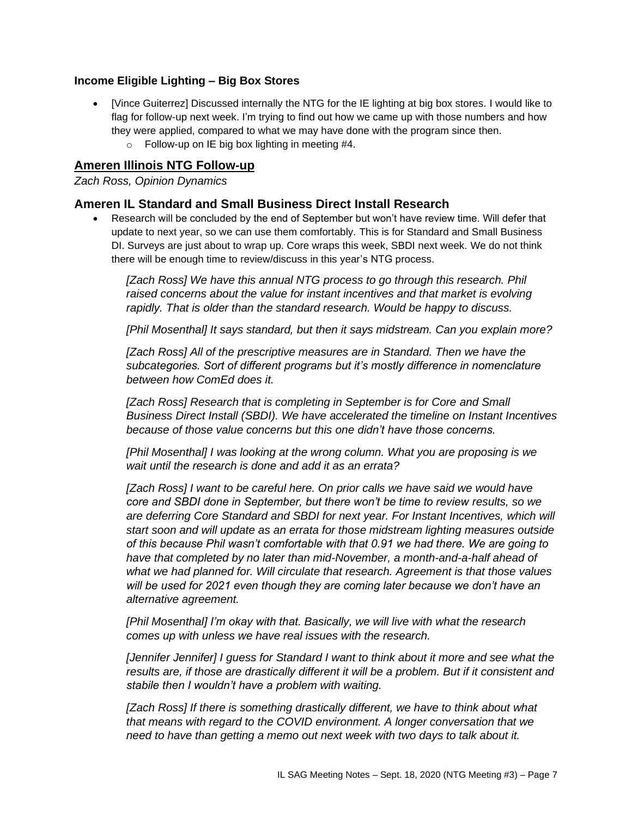## **Income Eligible Lighting – Big Box Stores**

- [Vince Guiterrez] Discussed internally the NTG for the IE lighting at big box stores. I would like to flag for follow-up next week. I'm trying to find out how we came up with those numbers and how they were applied, compared to what we may have done with the program since then.
	- $\circ$  Follow-up on IE big box lighting in meeting #4.

# **Ameren Illinois NTG Follow-up**

#### *Zach Ross, Opinion Dynamics*

## **Ameren IL Standard and Small Business Direct Install Research**

• Research will be concluded by the end of September but won't have review time. Will defer that update to next year, so we can use them comfortably. This is for Standard and Small Business DI. Surveys are just about to wrap up. Core wraps this week, SBDI next week. We do not think there will be enough time to review/discuss in this year's NTG process.

*[Zach Ross] We have this annual NTG process to go through this research. Phil raised concerns about the value for instant incentives and that market is evolving rapidly. That is older than the standard research. Would be happy to discuss.*

*[Phil Mosenthal] It says standard, but then it says midstream. Can you explain more?*

*[Zach Ross] All of the prescriptive measures are in Standard. Then we have the subcategories. Sort of different programs but it's mostly difference in nomenclature between how ComEd does it.*

*[Zach Ross] Research that is completing in September is for Core and Small Business Direct Install (SBDI). We have accelerated the timeline on Instant Incentives because of those value concerns but this one didn't have those concerns.*

*[Phil Mosenthal] I was looking at the wrong column. What you are proposing is we wait until the research is done and add it as an errata?*

*[Zach Ross] I want to be careful here. On prior calls we have said we would have core and SBDI done in September, but there won't be time to review results, so we are deferring Core Standard and SBDI for next year. For Instant Incentives, which will start soon and will update as an errata for those midstream lighting measures outside of this because Phil wasn't comfortable with that 0.91 we had there. We are going to have that completed by no later than mid-November, a month-and-a-half ahead of what we had planned for. Will circulate that research. Agreement is that those values will be used for 2021 even though they are coming later because we don't have an alternative agreement.*

*[Phil Mosenthal] I'm okay with that. Basically, we will live with what the research comes up with unless we have real issues with the research.*

*[Jennifer Jennifer] I guess for Standard I want to think about it more and see what the results are, if those are drastically different it will be a problem. But if it consistent and stabile then I wouldn't have a problem with waiting.*

*[Zach Ross] If there is something drastically different, we have to think about what that means with regard to the COVID environment. A longer conversation that we need to have than getting a memo out next week with two days to talk about it.*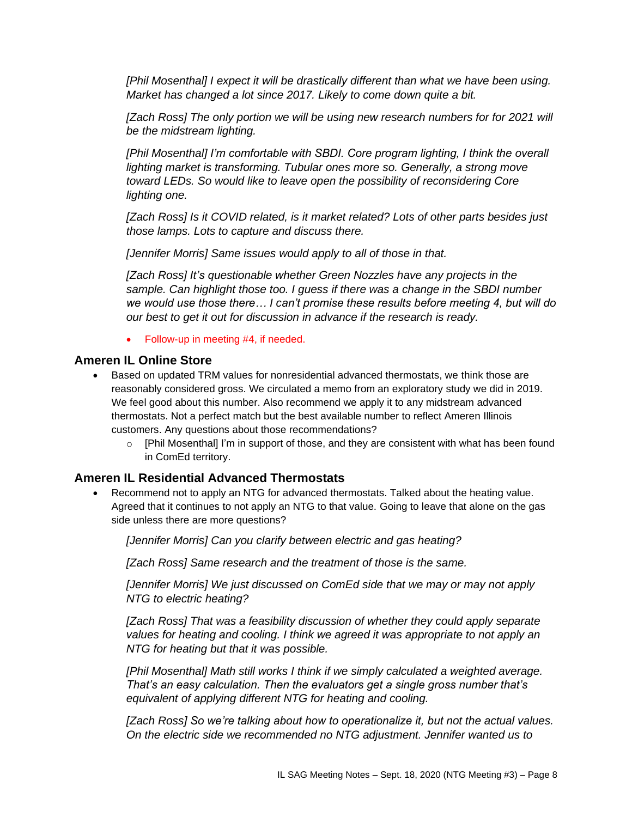*[Phil Mosenthal] I expect it will be drastically different than what we have been using. Market has changed a lot since 2017. Likely to come down quite a bit.*

[Zach Ross] The only portion we will be using new research numbers for for 2021 will *be the midstream lighting.*

[Phil Mosenthal] I'm comfortable with SBDI. Core program lighting, I think the overall *lighting market is transforming. Tubular ones more so. Generally, a strong move toward LEDs. So would like to leave open the possibility of reconsidering Core lighting one.* 

*[Zach Ross] Is it COVID related, is it market related? Lots of other parts besides just those lamps. Lots to capture and discuss there.*

*[Jennifer Morris] Same issues would apply to all of those in that.*

*[Zach Ross] It's questionable whether Green Nozzles have any projects in the sample. Can highlight those too. I guess if there was a change in the SBDI number we would use those there… I can't promise these results before meeting 4, but will do our best to get it out for discussion in advance if the research is ready.* 

• Follow-up in meeting #4, if needed.

#### **Ameren IL Online Store**

- Based on updated TRM values for nonresidential advanced thermostats, we think those are reasonably considered gross. We circulated a memo from an exploratory study we did in 2019. We feel good about this number. Also recommend we apply it to any midstream advanced thermostats. Not a perfect match but the best available number to reflect Ameren Illinois customers. Any questions about those recommendations?
	- $\circ$  [Phil Mosenthal] I'm in support of those, and they are consistent with what has been found in ComEd territory.

#### **Ameren IL Residential Advanced Thermostats**

• Recommend not to apply an NTG for advanced thermostats. Talked about the heating value. Agreed that it continues to not apply an NTG to that value. Going to leave that alone on the gas side unless there are more questions?

*[Jennifer Morris] Can you clarify between electric and gas heating?*

*[Zach Ross] Same research and the treatment of those is the same.*

*[Jennifer Morris] We just discussed on ComEd side that we may or may not apply NTG to electric heating?*

*[Zach Ross] That was a feasibility discussion of whether they could apply separate values for heating and cooling. I think we agreed it was appropriate to not apply an NTG for heating but that it was possible.*

*[Phil Mosenthal] Math still works I think if we simply calculated a weighted average. That's an easy calculation. Then the evaluators get a single gross number that's equivalent of applying different NTG for heating and cooling.* 

*[Zach Ross] So we're talking about how to operationalize it, but not the actual values. On the electric side we recommended no NTG adjustment. Jennifer wanted us to*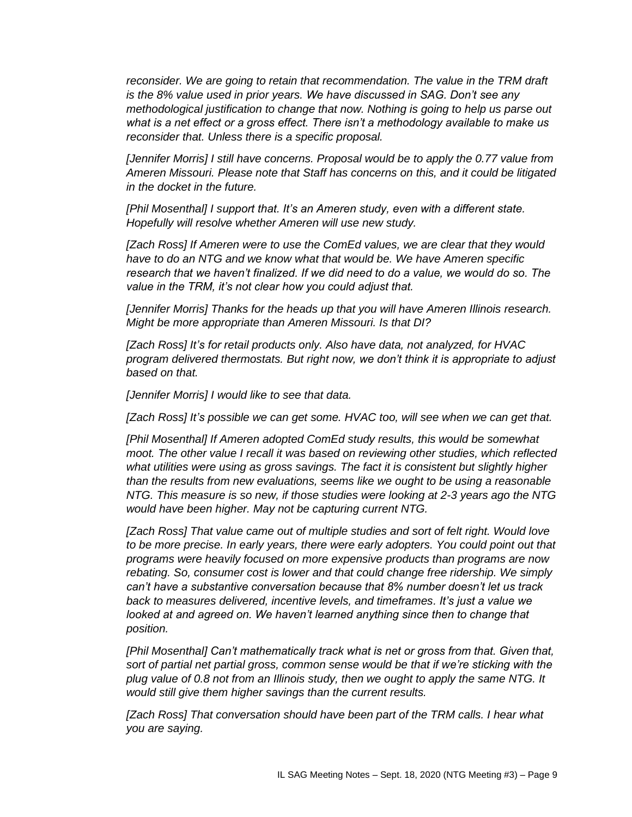*reconsider. We are going to retain that recommendation. The value in the TRM draft is the 8% value used in prior years. We have discussed in SAG. Don't see any methodological justification to change that now. Nothing is going to help us parse out what is a net effect or a gross effect. There isn't a methodology available to make us reconsider that. Unless there is a specific proposal.*

*[Jennifer Morris] I still have concerns. Proposal would be to apply the 0.77 value from Ameren Missouri. Please note that Staff has concerns on this, and it could be litigated in the docket in the future.*

*[Phil Mosenthal] I support that. It's an Ameren study, even with a different state. Hopefully will resolve whether Ameren will use new study.*

*[Zach Ross] If Ameren were to use the ComEd values, we are clear that they would have to do an NTG and we know what that would be. We have Ameren specific research that we haven't finalized. If we did need to do a value, we would do so. The value in the TRM, it's not clear how you could adjust that.* 

*[Jennifer Morris] Thanks for the heads up that you will have Ameren Illinois research. Might be more appropriate than Ameren Missouri. Is that DI?*

*[Zach Ross] It's for retail products only. Also have data, not analyzed, for HVAC program delivered thermostats. But right now, we don't think it is appropriate to adjust based on that.*

*[Jennifer Morris] I would like to see that data.*

*[Zach Ross] It's possible we can get some. HVAC too, will see when we can get that.*

*[Phil Mosenthal] If Ameren adopted ComEd study results, this would be somewhat moot. The other value I recall it was based on reviewing other studies, which reflected what utilities were using as gross savings. The fact it is consistent but slightly higher than the results from new evaluations, seems like we ought to be using a reasonable NTG. This measure is so new, if those studies were looking at 2-3 years ago the NTG would have been higher. May not be capturing current NTG.*

*[Zach Ross] That value came out of multiple studies and sort of felt right. Would love to be more precise. In early years, there were early adopters. You could point out that programs were heavily focused on more expensive products than programs are now rebating. So, consumer cost is lower and that could change free ridership. We simply can't have a substantive conversation because that 8% number doesn't let us track back to measures delivered, incentive levels, and timeframes. It's just a value we looked at and agreed on. We haven't learned anything since then to change that position.*

*[Phil Mosenthal] Can't mathematically track what is net or gross from that. Given that, sort of partial net partial gross, common sense would be that if we're sticking with the plug value of 0.8 not from an Illinois study, then we ought to apply the same NTG. It would still give them higher savings than the current results.*

*[Zach Ross] That conversation should have been part of the TRM calls. I hear what you are saying.*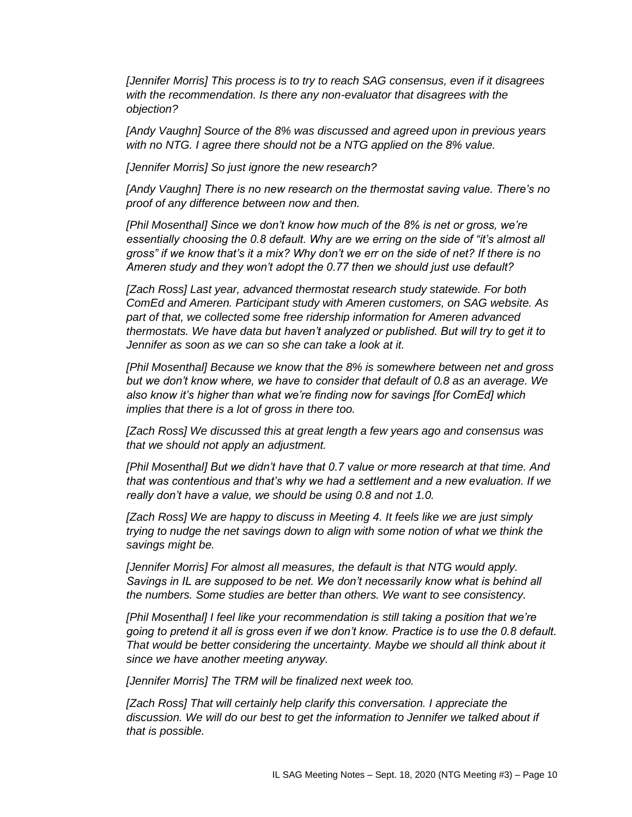*[Jennifer Morris] This process is to try to reach SAG consensus, even if it disagrees with the recommendation. Is there any non-evaluator that disagrees with the objection?*

*[Andy Vaughn] Source of the 8% was discussed and agreed upon in previous years with no NTG. I agree there should not be a NTG applied on the 8% value.*

*[Jennifer Morris] So just ignore the new research?*

*[Andy Vaughn] There is no new research on the thermostat saving value. There's no proof of any difference between now and then.*

*[Phil Mosenthal] Since we don't know how much of the 8% is net or gross, we're*  essentially choosing the 0.8 default. Why are we erring on the side of "it's almost all *gross" if we know that's it a mix? Why don't we err on the side of net? If there is no Ameren study and they won't adopt the 0.77 then we should just use default?*

*[Zach Ross] Last year, advanced thermostat research study statewide. For both ComEd and Ameren. Participant study with Ameren customers, on SAG website. As part of that, we collected some free ridership information for Ameren advanced thermostats. We have data but haven't analyzed or published. But will try to get it to Jennifer as soon as we can so she can take a look at it.*

*[Phil Mosenthal] Because we know that the 8% is somewhere between net and gross but we don't know where, we have to consider that default of 0.8 as an average. We also know it's higher than what we're finding now for savings [for ComEd] which implies that there is a lot of gross in there too.*

*[Zach Ross] We discussed this at great length a few years ago and consensus was that we should not apply an adjustment.*

*[Phil Mosenthal] But we didn't have that 0.7 value or more research at that time. And that was contentious and that's why we had a settlement and a new evaluation. If we really don't have a value, we should be using 0.8 and not 1.0.*

*[Zach Ross] We are happy to discuss in Meeting 4. It feels like we are just simply trying to nudge the net savings down to align with some notion of what we think the savings might be.*

*[Jennifer Morris] For almost all measures, the default is that NTG would apply. Savings in IL are supposed to be net. We don't necessarily know what is behind all the numbers. Some studies are better than others. We want to see consistency.*

*[Phil Mosenthal] I feel like your recommendation is still taking a position that we're going to pretend it all is gross even if we don't know. Practice is to use the 0.8 default. That would be better considering the uncertainty. Maybe we should all think about it since we have another meeting anyway.*

*[Jennifer Morris] The TRM will be finalized next week too.*

*[Zach Ross] That will certainly help clarify this conversation. I appreciate the discussion. We will do our best to get the information to Jennifer we talked about if that is possible.*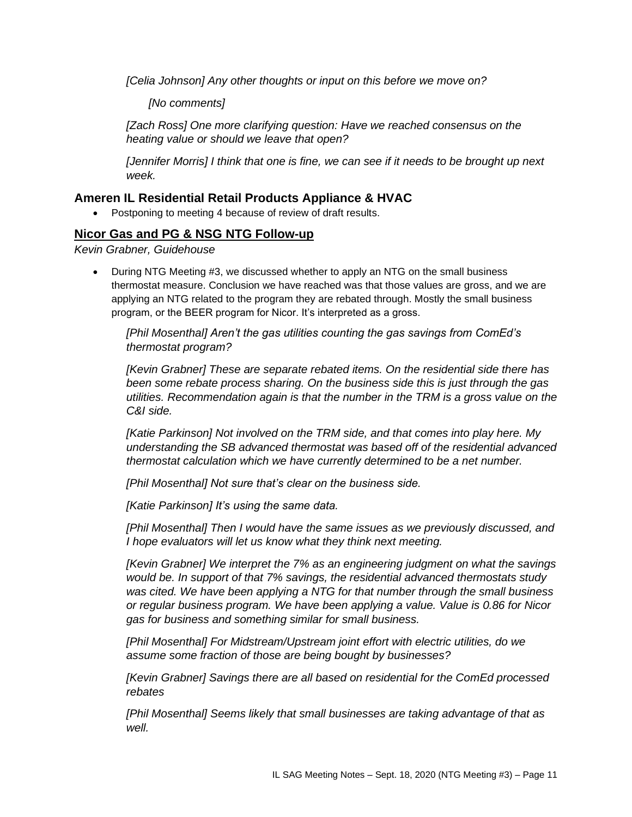*[Celia Johnson] Any other thoughts or input on this before we move on?*

*[No comments]*

*[Zach Ross] One more clarifying question: Have we reached consensus on the heating value or should we leave that open?*

*[Jennifer Morris] I think that one is fine, we can see if it needs to be brought up next week.*

# **Ameren IL Residential Retail Products Appliance & HVAC**

• Postponing to meeting 4 because of review of draft results.

# **Nicor Gas and PG & NSG NTG Follow-up**

*Kevin Grabner, Guidehouse*

• During NTG Meeting #3, we discussed whether to apply an NTG on the small business thermostat measure. Conclusion we have reached was that those values are gross, and we are applying an NTG related to the program they are rebated through. Mostly the small business program, or the BEER program for Nicor. It's interpreted as a gross.

*[Phil Mosenthal] Aren't the gas utilities counting the gas savings from ComEd's thermostat program?*

*[Kevin Grabner] These are separate rebated items. On the residential side there has been some rebate process sharing. On the business side this is just through the gas utilities. Recommendation again is that the number in the TRM is a gross value on the C&I side.*

*[Katie Parkinson] Not involved on the TRM side, and that comes into play here. My understanding the SB advanced thermostat was based off of the residential advanced thermostat calculation which we have currently determined to be a net number.*

*[Phil Mosenthal] Not sure that's clear on the business side.*

*[Katie Parkinson] It's using the same data.*

*[Phil Mosenthal] Then I would have the same issues as we previously discussed, and I hope evaluators will let us know what they think next meeting.*

*[Kevin Grabner] We interpret the 7% as an engineering judgment on what the savings would be. In support of that 7% savings, the residential advanced thermostats study was cited. We have been applying a NTG for that number through the small business or regular business program. We have been applying a value. Value is 0.86 for Nicor gas for business and something similar for small business.*

*[Phil Mosenthal] For Midstream/Upstream joint effort with electric utilities, do we assume some fraction of those are being bought by businesses?*

*[Kevin Grabner] Savings there are all based on residential for the ComEd processed rebates*

*[Phil Mosenthal] Seems likely that small businesses are taking advantage of that as well.*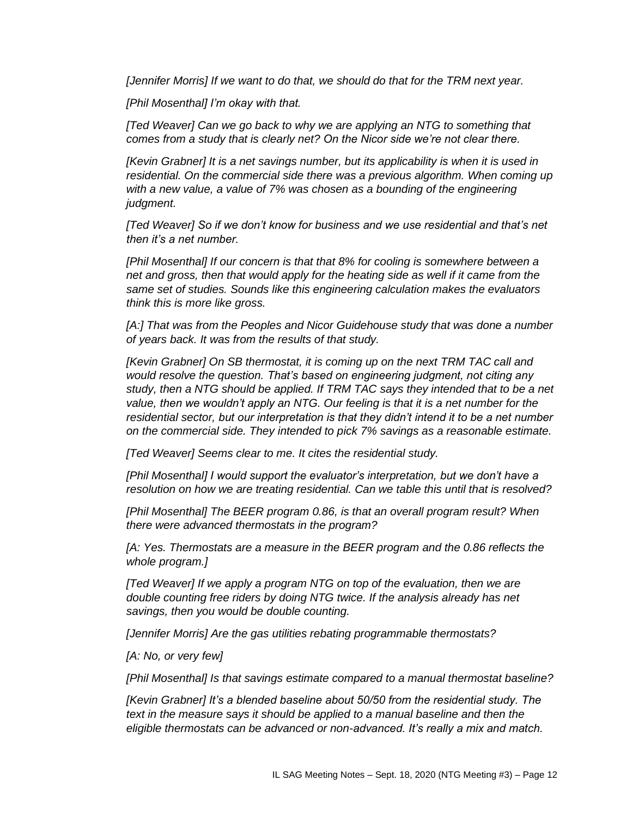*[Jennifer Morris] If we want to do that, we should do that for the TRM next year.* 

*[Phil Mosenthal] I'm okay with that.*

*[Ted Weaver] Can we go back to why we are applying an NTG to something that comes from a study that is clearly net? On the Nicor side we're not clear there.*

*[Kevin Grabner] It is a net savings number, but its applicability is when it is used in residential. On the commercial side there was a previous algorithm. When coming up with a new value, a value of 7% was chosen as a bounding of the engineering judgment.*

*[Ted Weaver] So if we don't know for business and we use residential and that's net then it's a net number.*

*[Phil Mosenthal] If our concern is that that 8% for cooling is somewhere between a net and gross, then that would apply for the heating side as well if it came from the same set of studies. Sounds like this engineering calculation makes the evaluators think this is more like gross.*

*[A:] That was from the Peoples and Nicor Guidehouse study that was done a number of years back. It was from the results of that study.*

*[Kevin Grabner] On SB thermostat, it is coming up on the next TRM TAC call and would resolve the question. That's based on engineering judgment, not citing any study, then a NTG should be applied. If TRM TAC says they intended that to be a net value, then we wouldn't apply an NTG. Our feeling is that it is a net number for the residential sector, but our interpretation is that they didn't intend it to be a net number on the commercial side. They intended to pick 7% savings as a reasonable estimate.* 

*[Ted Weaver] Seems clear to me. It cites the residential study.*

*[Phil Mosenthal] I would support the evaluator's interpretation, but we don't have a resolution on how we are treating residential. Can we table this until that is resolved?*

*[Phil Mosenthal] The BEER program 0.86, is that an overall program result? When there were advanced thermostats in the program?*

*[A: Yes. Thermostats are a measure in the BEER program and the 0.86 reflects the whole program.]*

*[Ted Weaver] If we apply a program NTG on top of the evaluation, then we are double counting free riders by doing NTG twice. If the analysis already has net savings, then you would be double counting.*

*[Jennifer Morris] Are the gas utilities rebating programmable thermostats?*

*[A: No, or very few]*

*[Phil Mosenthal] Is that savings estimate compared to a manual thermostat baseline?*

*[Kevin Grabner] It's a blended baseline about 50/50 from the residential study. The text in the measure says it should be applied to a manual baseline and then the eligible thermostats can be advanced or non-advanced. It's really a mix and match.*